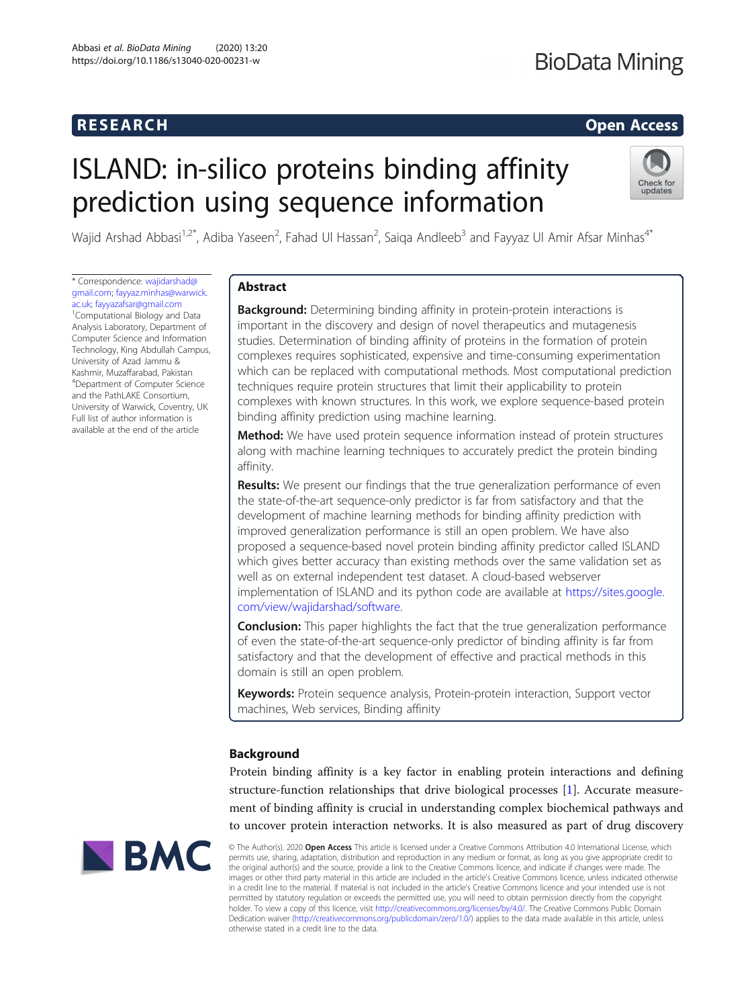# **RESEARCH RESEARCH CONSUMING ACCESS**

# ISLAND: in-silico proteins binding affinity prediction using sequence information



Wajid Arshad Abbasi<sup>1,2\*</sup>, Adiba Yaseen<sup>2</sup>, Fahad Ul Hassan<sup>2</sup>, Saiqa Andleeb<sup>3</sup> and Fayyaz Ul Amir Afsar Minhas<sup>4\*</sup>

\* Correspondence: [wajidarshad@](mailto:wajidarshad@gmail.com) [gmail.com;](mailto:wajidarshad@gmail.com) [fayyaz.minhas@warwick.](mailto:fayyaz.minhas@warwick.ac.uk) [ac.uk;](mailto:fayyaz.minhas@warwick.ac.uk) [fayyazafsar@gmail.com](mailto:fayyazafsar@gmail.com) <sup>1</sup> <sup>1</sup>Computational Biology and Data Analysis Laboratory, Department of Computer Science and Information Technology, King Abdullah Campus, University of Azad Jammu & Kashmir, Muzaffarabad, Pakistan 4 Department of Computer Science and the PathLAKE Consortium, University of Warwick, Coventry, UK Full list of author information is available at the end of the article

# Abstract

**Background:** Determining binding affinity in protein-protein interactions is important in the discovery and design of novel therapeutics and mutagenesis studies. Determination of binding affinity of proteins in the formation of protein complexes requires sophisticated, expensive and time-consuming experimentation which can be replaced with computational methods. Most computational prediction techniques require protein structures that limit their applicability to protein complexes with known structures. In this work, we explore sequence-based protein binding affinity prediction using machine learning.

Method: We have used protein sequence information instead of protein structures along with machine learning techniques to accurately predict the protein binding affinity.

Results: We present our findings that the true generalization performance of even the state-of-the-art sequence-only predictor is far from satisfactory and that the development of machine learning methods for binding affinity prediction with improved generalization performance is still an open problem. We have also proposed a sequence-based novel protein binding affinity predictor called ISLAND which gives better accuracy than existing methods over the same validation set as well as on external independent test dataset. A cloud-based webserver implementation of ISLAND and its python code are available at [https://sites.google.](https://sites.google.com/view/wajidarshad/software) [com/view/wajidarshad/software](https://sites.google.com/view/wajidarshad/software).

**Conclusion:** This paper highlights the fact that the true generalization performance of even the state-of-the-art sequence-only predictor of binding affinity is far from satisfactory and that the development of effective and practical methods in this domain is still an open problem.

Keywords: Protein sequence analysis, Protein-protein interaction, Support vector machines, Web services, Binding affinity

## Background

Protein binding affinity is a key factor in enabling protein interactions and defining structure-function relationships that drive biological processes [[1\]](#page-11-0). Accurate measurement of binding affinity is crucial in understanding complex biochemical pathways and to uncover protein interaction networks. It is also measured as part of drug discovery



© The Author(s). 2020 Open Access This article is licensed under a Creative Commons Attribution 4.0 International License, which permits use, sharing, adaptation, distribution and reproduction in any medium or format, as long as you give appropriate credit to the original author(s) and the source, provide a link to the Creative Commons licence, and indicate if changes were made. The images or other third party material in this article are included in the article's Creative Commons licence, unless indicated otherwise in a credit line to the material. If material is not included in the article's Creative Commons licence and your intended use is not permitted by statutory regulation or exceeds the permitted use, you will need to obtain permission directly from the copyright<br>holder. To view a copy of this licence, visit [http://creativecommons.org/licenses/by/4.0/.](http://creativecommons.org/licenses/by/4.0/) The Dedication waiver [\(http://creativecommons.org/publicdomain/zero/1.0/](http://creativecommons.org/publicdomain/zero/1.0/)) applies to the data made available in this article, unless otherwise stated in a credit line to the data.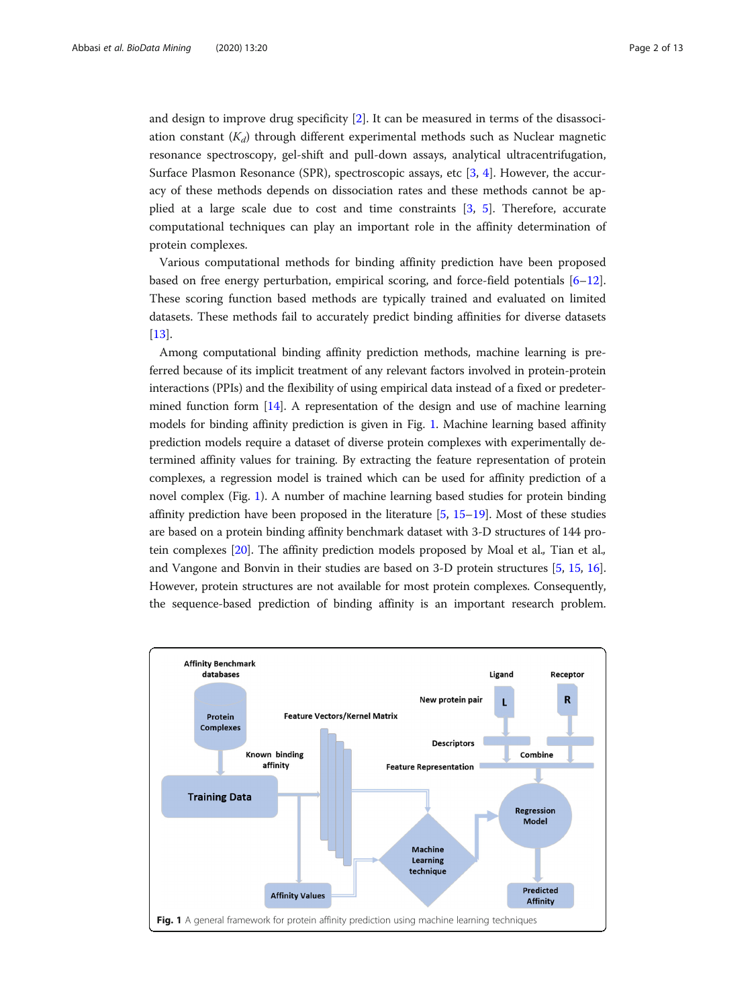<span id="page-1-0"></span>and design to improve drug specificity [[2](#page-11-0)]. It can be measured in terms of the disassociation constant  $(K_d)$  through different experimental methods such as Nuclear magnetic resonance spectroscopy, gel-shift and pull-down assays, analytical ultracentrifugation, Surface Plasmon Resonance (SPR), spectroscopic assays, etc  $[3, 4]$  $[3, 4]$  $[3, 4]$ . However, the accuracy of these methods depends on dissociation rates and these methods cannot be applied at a large scale due to cost and time constraints [[3,](#page-11-0) [5](#page-11-0)]. Therefore, accurate computational techniques can play an important role in the affinity determination of protein complexes.

Various computational methods for binding affinity prediction have been proposed based on free energy perturbation, empirical scoring, and force-field potentials [[6](#page-11-0)–[12](#page-11-0)]. These scoring function based methods are typically trained and evaluated on limited datasets. These methods fail to accurately predict binding affinities for diverse datasets [[13\]](#page-11-0).

Among computational binding affinity prediction methods, machine learning is preferred because of its implicit treatment of any relevant factors involved in protein-protein interactions (PPIs) and the flexibility of using empirical data instead of a fixed or predetermined function form [[14](#page-11-0)]. A representation of the design and use of machine learning models for binding affinity prediction is given in Fig. 1. Machine learning based affinity prediction models require a dataset of diverse protein complexes with experimentally determined affinity values for training. By extracting the feature representation of protein complexes, a regression model is trained which can be used for affinity prediction of a novel complex (Fig. 1). A number of machine learning based studies for protein binding affinity prediction have been proposed in the literature [[5,](#page-11-0) [15](#page-11-0)–[19](#page-11-0)]. Most of these studies are based on a protein binding affinity benchmark dataset with 3-D structures of 144 protein complexes [\[20\]](#page-11-0). The affinity prediction models proposed by Moal et al., Tian et al., and Vangone and Bonvin in their studies are based on 3-D protein structures [[5,](#page-11-0) [15,](#page-11-0) [16](#page-11-0)]. However, protein structures are not available for most protein complexes. Consequently, the sequence-based prediction of binding affinity is an important research problem.

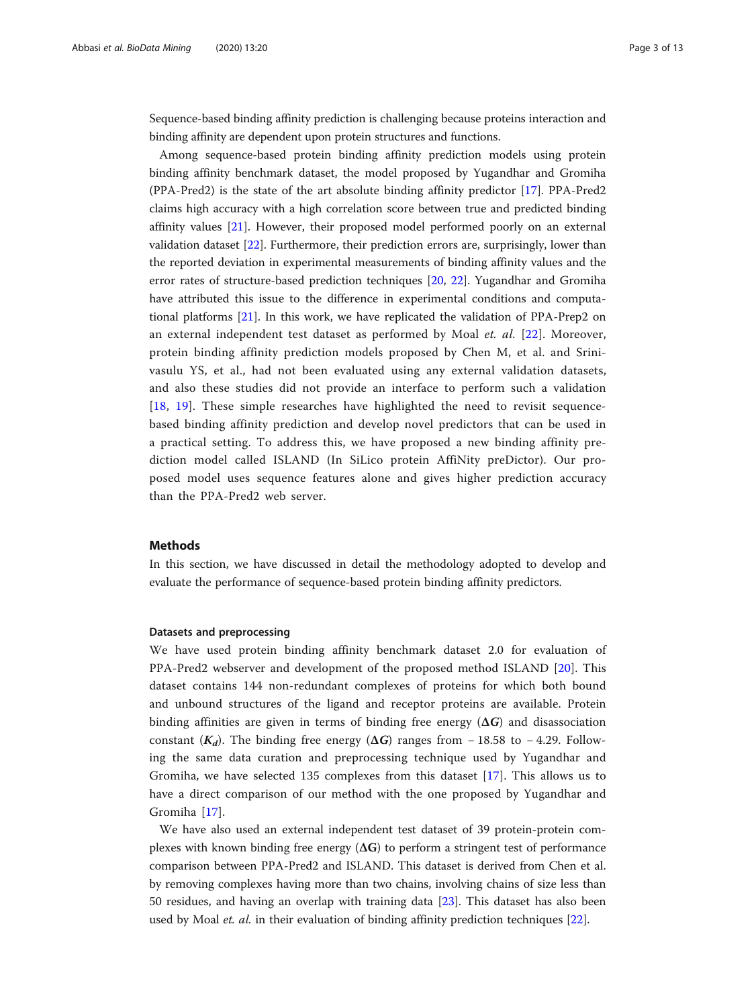Sequence-based binding affinity prediction is challenging because proteins interaction and binding affinity are dependent upon protein structures and functions.

Among sequence-based protein binding affinity prediction models using protein binding affinity benchmark dataset, the model proposed by Yugandhar and Gromiha (PPA-Pred2) is the state of the art absolute binding affinity predictor [[17](#page-11-0)]. PPA-Pred2 claims high accuracy with a high correlation score between true and predicted binding affinity values [\[21](#page-11-0)]. However, their proposed model performed poorly on an external validation dataset [[22\]](#page-11-0). Furthermore, their prediction errors are, surprisingly, lower than the reported deviation in experimental measurements of binding affinity values and the error rates of structure-based prediction techniques [[20,](#page-11-0) [22](#page-11-0)]. Yugandhar and Gromiha have attributed this issue to the difference in experimental conditions and computational platforms [\[21](#page-11-0)]. In this work, we have replicated the validation of PPA-Prep2 on an external independent test dataset as performed by Moal et. al. [[22](#page-11-0)]. Moreover, protein binding affinity prediction models proposed by Chen M, et al. and Srinivasulu YS, et al., had not been evaluated using any external validation datasets, and also these studies did not provide an interface to perform such a validation [[18](#page-11-0), [19\]](#page-11-0). These simple researches have highlighted the need to revisit sequencebased binding affinity prediction and develop novel predictors that can be used in a practical setting. To address this, we have proposed a new binding affinity prediction model called ISLAND (In SiLico protein AffiNity preDictor). Our proposed model uses sequence features alone and gives higher prediction accuracy than the PPA-Pred2 web server.

#### Methods

In this section, we have discussed in detail the methodology adopted to develop and evaluate the performance of sequence-based protein binding affinity predictors.

#### Datasets and preprocessing

We have used protein binding affinity benchmark dataset 2.0 for evaluation of PPA-Pred2 webserver and development of the proposed method ISLAND [[20\]](#page-11-0). This dataset contains 144 non-redundant complexes of proteins for which both bound and unbound structures of the ligand and receptor proteins are available. Protein binding affinities are given in terms of binding free energy  $(\Delta G)$  and disassociation constant ( $K_d$ ). The binding free energy ( $\Delta G$ ) ranges from − 18.58 to − 4.29. Following the same data curation and preprocessing technique used by Yugandhar and Gromiha, we have selected 135 complexes from this dataset [[17\]](#page-11-0). This allows us to have a direct comparison of our method with the one proposed by Yugandhar and Gromiha [[17\]](#page-11-0).

We have also used an external independent test dataset of 39 protein-protein complexes with known binding free energy  $(\Delta G)$  to perform a stringent test of performance comparison between PPA-Pred2 and ISLAND. This dataset is derived from Chen et al. by removing complexes having more than two chains, involving chains of size less than 50 residues, and having an overlap with training data [\[23](#page-11-0)]. This dataset has also been used by Moal et. al. in their evaluation of binding affinity prediction techniques [[22\]](#page-11-0).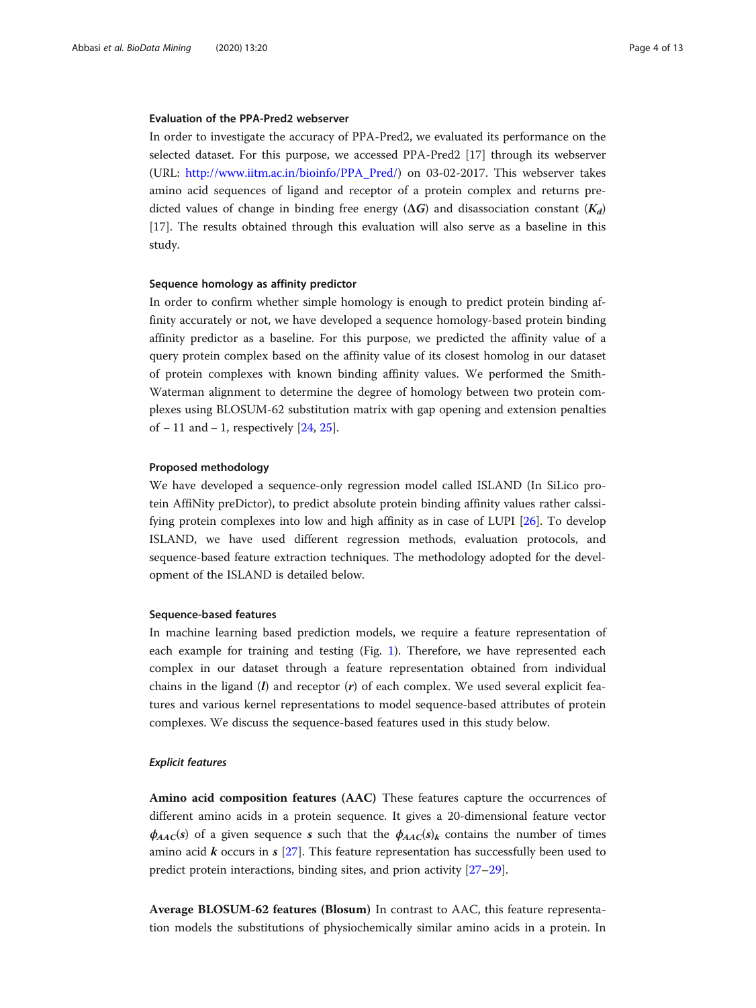#### Evaluation of the PPA-Pred2 webserver

In order to investigate the accuracy of PPA-Pred2, we evaluated its performance on the selected dataset. For this purpose, we accessed PPA-Pred2 [17] through its webserver (URL: [http://www.iitm.ac.in/bioinfo/PPA\\_Pred/\)](http://www.iitm.ac.in/bioinfo/PPA_Pred/) on 03-02-2017. This webserver takes amino acid sequences of ligand and receptor of a protein complex and returns predicted values of change in binding free energy  $(\Delta G)$  and disassociation constant  $(K_d)$ [17]. The results obtained through this evaluation will also serve as a baseline in this study.

#### Sequence homology as affinity predictor

In order to confirm whether simple homology is enough to predict protein binding affinity accurately or not, we have developed a sequence homology-based protein binding affinity predictor as a baseline. For this purpose, we predicted the affinity value of a query protein complex based on the affinity value of its closest homolog in our dataset of protein complexes with known binding affinity values. We performed the Smith-Waterman alignment to determine the degree of homology between two protein complexes using BLOSUM-62 substitution matrix with gap opening and extension penalties of − 11 and − 1, respectively [\[24](#page-11-0), [25\]](#page-11-0).

#### Proposed methodology

We have developed a sequence-only regression model called ISLAND (In SiLico protein AffiNity preDictor), to predict absolute protein binding affinity values rather calssifying protein complexes into low and high affinity as in case of LUPI [[26](#page-11-0)]. To develop ISLAND, we have used different regression methods, evaluation protocols, and sequence-based feature extraction techniques. The methodology adopted for the development of the ISLAND is detailed below.

#### Sequence-based features

In machine learning based prediction models, we require a feature representation of each example for training and testing (Fig. [1\)](#page-1-0). Therefore, we have represented each complex in our dataset through a feature representation obtained from individual chains in the ligand  $(l)$  and receptor  $(r)$  of each complex. We used several explicit features and various kernel representations to model sequence-based attributes of protein complexes. We discuss the sequence-based features used in this study below.

#### Explicit features

Amino acid composition features (AAC) These features capture the occurrences of different amino acids in a protein sequence. It gives a 20-dimensional feature vector  $\phi_{AAC}(s)$  of a given sequence s such that the  $\phi_{AAC}(s)_k$  contains the number of times amino acid  $k$  occurs in  $s$  [[27\]](#page-11-0). This feature representation has successfully been used to predict protein interactions, binding sites, and prion activity [[27](#page-11-0)–[29](#page-11-0)].

Average BLOSUM-62 features (Blosum) In contrast to AAC, this feature representation models the substitutions of physiochemically similar amino acids in a protein. In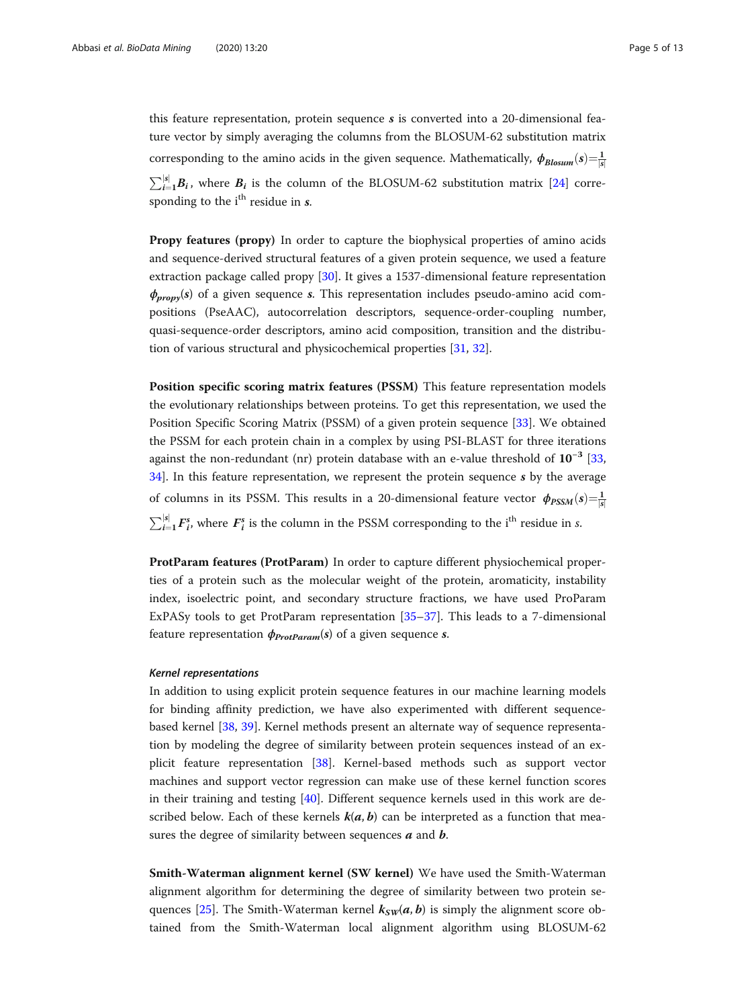this feature representation, protein sequence  $s$  is converted into a 20-dimensional feature vector by simply averaging the columns from the BLOSUM-62 substitution matrix corresponding to the amino acids in the given sequence. Mathematically,  $\phi_{Blosum}(s) = \frac{1}{|s|}$  $\sum_{i=1}^{|s|} B_i$ , where  $B_i$  is the column of the BLOSUM-62 substitution matrix [[24](#page-11-0)] corresponding to the  $i<sup>th</sup>$  residue in  $s$ .

Propy features (propy) In order to capture the biophysical properties of amino acids and sequence-derived structural features of a given protein sequence, we used a feature extraction package called propy [[30](#page-12-0)]. It gives a 1537-dimensional feature representation  $\phi_{\text{propy}}(s)$  of a given sequence s. This representation includes pseudo-amino acid compositions (PseAAC), autocorrelation descriptors, sequence-order-coupling number, quasi-sequence-order descriptors, amino acid composition, transition and the distribution of various structural and physicochemical properties [[31](#page-12-0), [32](#page-12-0)].

Position specific scoring matrix features (PSSM) This feature representation models the evolutionary relationships between proteins. To get this representation, we used the Position Specific Scoring Matrix (PSSM) of a given protein sequence [[33](#page-12-0)]. We obtained the PSSM for each protein chain in a complex by using PSI-BLAST for three iterations against the non-redundant (nr) protein database with an e-value threshold of  $10^{-3}$  [[33](#page-12-0),  $34$ . In this feature representation, we represent the protein sequence s by the average of columns in its PSSM. This results in a 20-dimensional feature vector  $\phi_{PSSM}(s) = \frac{1}{|s|}$  $\sum_{i=1}^{|s|} F_i^s$ , where  $F_i^s$  is the column in the PSSM corresponding to the i<sup>th</sup> residue in *s*.

ProtParam features (ProtParam) In order to capture different physiochemical properties of a protein such as the molecular weight of the protein, aromaticity, instability index, isoelectric point, and secondary structure fractions, we have used ProParam ExPASy tools to get ProtParam representation [[35](#page-12-0)–[37](#page-12-0)]. This leads to a 7-dimensional feature representation  $\phi_{ProtParam}(s)$  of a given sequence s.

#### Kernel representations

In addition to using explicit protein sequence features in our machine learning models for binding affinity prediction, we have also experimented with different sequencebased kernel [\[38,](#page-12-0) [39](#page-12-0)]. Kernel methods present an alternate way of sequence representation by modeling the degree of similarity between protein sequences instead of an explicit feature representation [[38\]](#page-12-0). Kernel-based methods such as support vector machines and support vector regression can make use of these kernel function scores in their training and testing [[40\]](#page-12-0). Different sequence kernels used in this work are described below. Each of these kernels  $k(a, b)$  can be interpreted as a function that measures the degree of similarity between sequences  $a$  and  $b$ .

Smith-Waterman alignment kernel (SW kernel) We have used the Smith-Waterman alignment algorithm for determining the degree of similarity between two protein se-quences [\[25\]](#page-11-0). The Smith-Waterman kernel  $k_{SW}(a, b)$  is simply the alignment score obtained from the Smith-Waterman local alignment algorithm using BLOSUM-62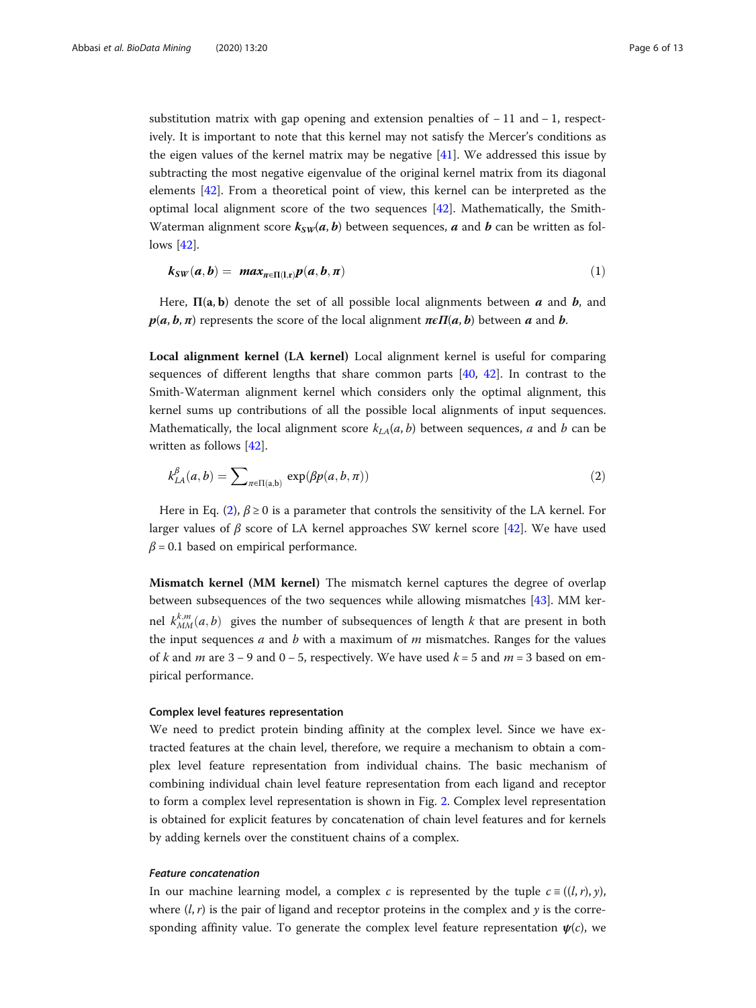substitution matrix with gap opening and extension penalties of − 11 and − 1, respectively. It is important to note that this kernel may not satisfy the Mercer's conditions as the eigen values of the kernel matrix may be negative [[41\]](#page-12-0). We addressed this issue by subtracting the most negative eigenvalue of the original kernel matrix from its diagonal elements [\[42\]](#page-12-0). From a theoretical point of view, this kernel can be interpreted as the optimal local alignment score of the two sequences [[42\]](#page-12-0). Mathematically, the Smith-Waterman alignment score  $k_{SW}(a, b)$  between sequences, a and b can be written as follows [\[42\]](#page-12-0).

$$
k_{SW}(a,b) = \max_{\pi \in \Pi(1,r)} p(a,b,\pi) \tag{1}
$$

Here,  $\Pi(a, b)$  denote the set of all possible local alignments between a and b, and  $p(a, b, \pi)$  represents the score of the local alignment  $\pi \epsilon \Pi(a, b)$  between a and b.

Local alignment kernel (LA kernel) Local alignment kernel is useful for comparing sequences of different lengths that share common parts  $[40, 42]$  $[40, 42]$  $[40, 42]$  $[40, 42]$  $[40, 42]$ . In contrast to the Smith-Waterman alignment kernel which considers only the optimal alignment, this kernel sums up contributions of all the possible local alignments of input sequences. Mathematically, the local alignment score  $k_{LA}(a, b)$  between sequences, a and b can be written as follows [[42\]](#page-12-0).

$$
k_{LA}^{\beta}(a,b) = \sum_{\pi \in \Pi(\mathbf{a},\mathbf{b})} \exp(\beta p(a,b,\pi)) \tag{2}
$$

Here in Eq. (2),  $\beta \ge 0$  is a parameter that controls the sensitivity of the LA kernel. For larger values of  $\beta$  score of LA kernel approaches SW kernel score [\[42\]](#page-12-0). We have used  $\beta$  = 0.1 based on empirical performance.

Mismatch kernel (MM kernel) The mismatch kernel captures the degree of overlap between subsequences of the two sequences while allowing mismatches [\[43\]](#page-12-0). MM kernel  $k_{MM}^{k,m}(a, b)$  gives the number of subsequences of length k that are present in both the input sequences  $a$  and  $b$  with a maximum of  $m$  mismatches. Ranges for the values of k and m are 3 − 9 and 0 − 5, respectively. We have used  $k = 5$  and  $m = 3$  based on empirical performance.

#### Complex level features representation

We need to predict protein binding affinity at the complex level. Since we have extracted features at the chain level, therefore, we require a mechanism to obtain a complex level feature representation from individual chains. The basic mechanism of combining individual chain level feature representation from each ligand and receptor to form a complex level representation is shown in Fig. [2](#page-6-0). Complex level representation is obtained for explicit features by concatenation of chain level features and for kernels by adding kernels over the constituent chains of a complex.

#### Feature concatenation

In our machine learning model, a complex c is represented by the tuple  $c \equiv ((l, r), y)$ , where  $(l, r)$  is the pair of ligand and receptor proteins in the complex and  $\gamma$  is the corresponding affinity value. To generate the complex level feature representation  $\psi(c)$ , we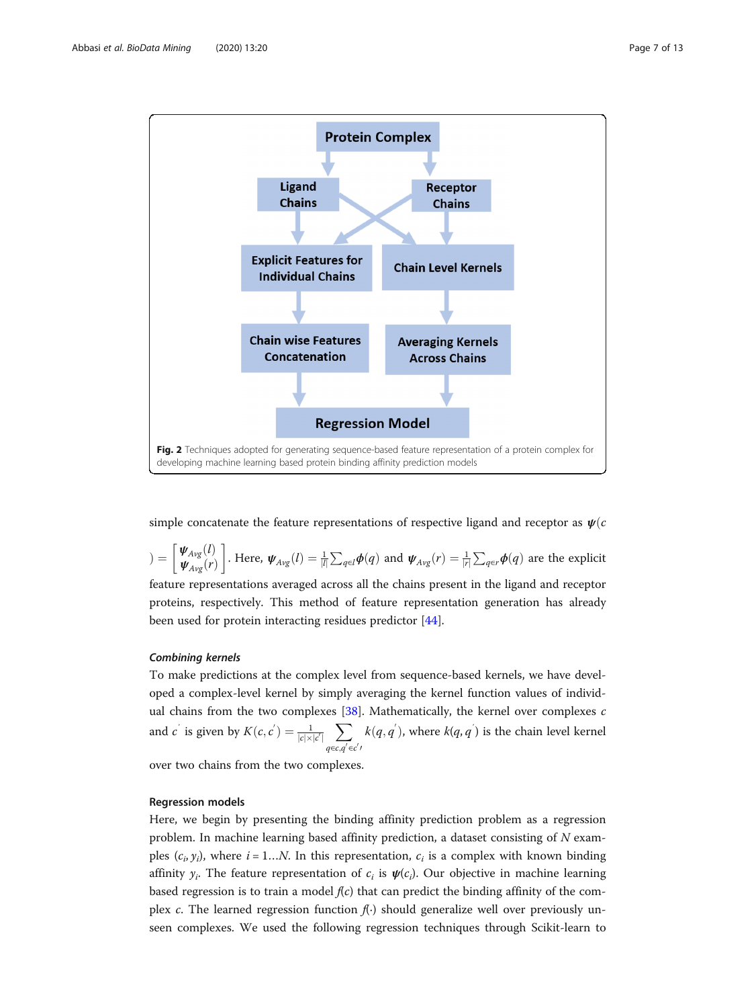<span id="page-6-0"></span>

simple concatenate the feature representations of respective ligand and receptor as  $\psi(c)$ 

$$
)=\begin{bmatrix} \psi_{Avg}(l) \\ \psi_{Avg}(r) \end{bmatrix}.
$$
 Here,  $\psi_{Avg}(l) = \frac{1}{|l|} \sum_{q \in l} \phi(q)$  and  $\psi_{Avg}(r) = \frac{1}{|r|} \sum_{q \in r} \phi(q)$  are the explicit feature representations averaged across all the chains present in the ligand and receptor proteins, respectively. This method of feature representation generation has already been used for protein interacting residues predictor [44].

#### Combining kernels

To make predictions at the complex level from sequence-based kernels, we have developed a complex-level kernel by simply averaging the kernel function values of individual chains from the two complexes  $[38]$ . Mathematically, the kernel over complexes c and c is given by  $K(c, c') = \frac{1}{|c| \times |c'|} \sum_{i}$  $q \in c, q' \in c'$  $k(q,q^{'})$ , where  $k(q,q^{'})$  is the chain level kernel

over two chains from the two complexes.

#### Regression models

Here, we begin by presenting the binding affinity prediction problem as a regression problem. In machine learning based affinity prediction, a dataset consisting of  $N$  examples  $(c_i, y_i)$ , where  $i = 1...N$ . In this representation,  $c_i$  is a complex with known binding affinity  $y_i$ . The feature representation of  $c_i$  is  $\psi(c_i)$ . Our objective in machine learning based regression is to train a model  $f(c)$  that can predict the binding affinity of the complex c. The learned regression function  $f(\cdot)$  should generalize well over previously unseen complexes. We used the following regression techniques through Scikit-learn to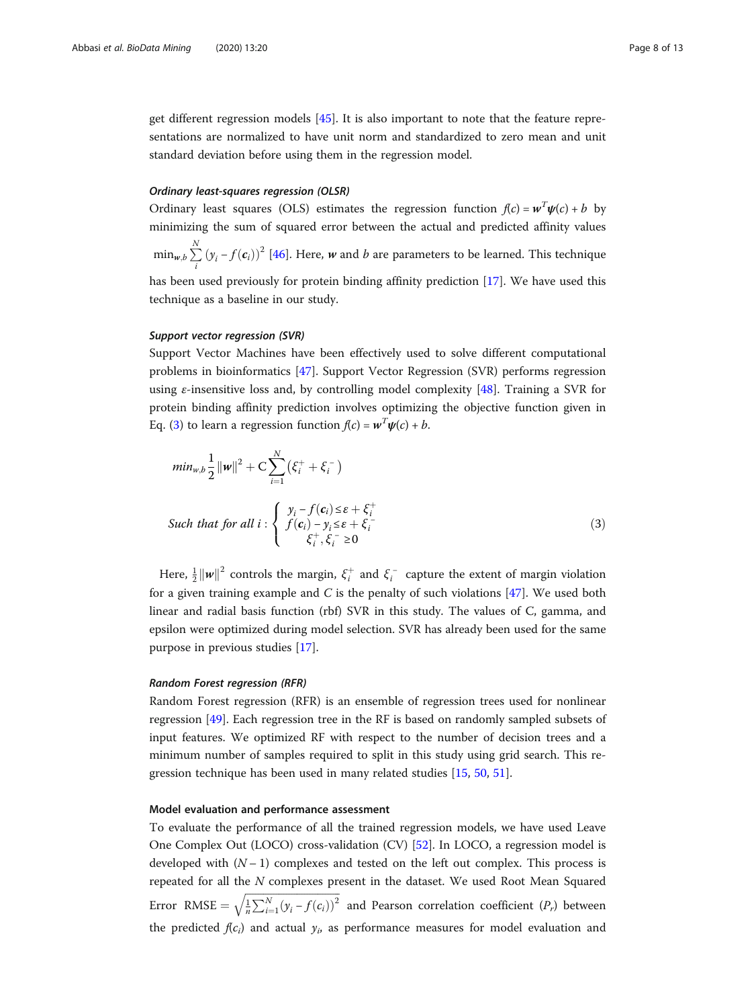get different regression models [[45](#page-12-0)]. It is also important to note that the feature representations are normalized to have unit norm and standardized to zero mean and unit standard deviation before using them in the regression model.

#### Ordinary least-squares regression (OLSR)

Ordinary least squares (OLS) estimates the regression function  $f(c) = w^T \psi(c) + b$  by minimizing the sum of squared error between the actual and predicted affinity values  $\min_{\pmb w,b} \sum^N$  $\sum_{i} (y_i - f(c_i))^2$  [\[46\]](#page-12-0). Here, w and b are parameters to be learned. This technique has been used previously for protein binding affinity prediction [[17\]](#page-11-0). We have used this

#### Support vector regression (SVR)

technique as a baseline in our study.

Support Vector Machines have been effectively used to solve different computational problems in bioinformatics [[47\]](#page-12-0). Support Vector Regression (SVR) performs regression using  $\varepsilon$ -insensitive loss and, by controlling model complexity [[48\]](#page-12-0). Training a SVR for protein binding affinity prediction involves optimizing the objective function given in Eq. (3) to learn a regression function  $f(c) = \boldsymbol{w}^T \boldsymbol{\psi}(c) + b$ .

$$
\min_{w,b} \frac{1}{2} ||w||^2 + C \sum_{i=1}^N (\xi_i^+ + \xi_i^-)
$$
  
Such that for all  $i : \begin{cases} y_i - f(c_i) \le \varepsilon + \xi_i^+ \\ f(c_i) - y_i \le \varepsilon + \xi_i^- \\ \xi_i^+, \xi_i^- \ge 0 \end{cases}$  (3)

Here,  $\frac{1}{2}||w||^2$  controls the margin,  $\xi_i^+$  and  $\xi_i^-$  capture the extent of margin violation for a given training example and  $C$  is the penalty of such violations  $[47]$  $[47]$ . We used both linear and radial basis function (rbf) SVR in this study. The values of C, gamma, and epsilon were optimized during model selection. SVR has already been used for the same purpose in previous studies [\[17\]](#page-11-0).

#### Random Forest regression (RFR)

Random Forest regression (RFR) is an ensemble of regression trees used for nonlinear regression [\[49](#page-12-0)]. Each regression tree in the RF is based on randomly sampled subsets of input features. We optimized RF with respect to the number of decision trees and a minimum number of samples required to split in this study using grid search. This regression technique has been used in many related studies [[15,](#page-11-0) [50,](#page-12-0) [51](#page-12-0)].

#### Model evaluation and performance assessment

To evaluate the performance of all the trained regression models, we have used Leave One Complex Out (LOCO) cross-validation (CV) [[52\]](#page-12-0). In LOCO, a regression model is developed with  $(N-1)$  complexes and tested on the left out complex. This process is repeated for all the N complexes present in the dataset. We used Root Mean Squared Error RMSE  $=\sqrt{\frac{1}{n}\sum_{i=1}^{N}(y_i-f(c_i))^2}$  and Pearson correlation coefficient  $(P_r)$  between the predicted  $f(c_i)$  and actual  $y_i$ , as performance measures for model evaluation and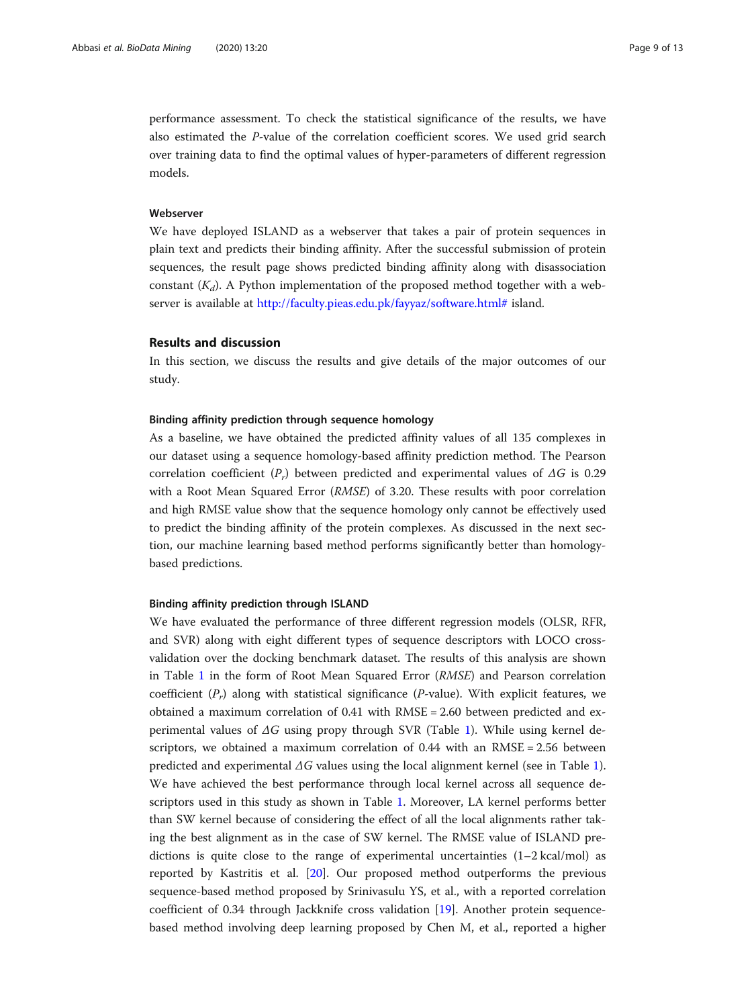performance assessment. To check the statistical significance of the results, we have also estimated the P-value of the correlation coefficient scores. We used grid search over training data to find the optimal values of hyper-parameters of different regression models.

#### **Webserver**

We have deployed ISLAND as a webserver that takes a pair of protein sequences in plain text and predicts their binding affinity. After the successful submission of protein sequences, the result page shows predicted binding affinity along with disassociation constant  $(K_d)$ . A Python implementation of the proposed method together with a webserver is available at [http://faculty.pieas.edu.pk/fayyaz/software.html#](http://faculty.pieas.edu.pk/fayyaz/software.html) island.

#### Results and discussion

In this section, we discuss the results and give details of the major outcomes of our study.

#### Binding affinity prediction through sequence homology

As a baseline, we have obtained the predicted affinity values of all 135 complexes in our dataset using a sequence homology-based affinity prediction method. The Pearson correlation coefficient ( $P_r$ ) between predicted and experimental values of  $\Delta G$  is 0.29 with a Root Mean Squared Error (RMSE) of 3.20. These results with poor correlation and high RMSE value show that the sequence homology only cannot be effectively used to predict the binding affinity of the protein complexes. As discussed in the next section, our machine learning based method performs significantly better than homologybased predictions.

#### Binding affinity prediction through ISLAND

We have evaluated the performance of three different regression models (OLSR, RFR, and SVR) along with eight different types of sequence descriptors with LOCO crossvalidation over the docking benchmark dataset. The results of this analysis are shown in Table [1](#page-9-0) in the form of Root Mean Squared Error (RMSE) and Pearson correlation coefficient  $(P_r)$  along with statistical significance  $(P$ -value). With explicit features, we obtained a maximum correlation of  $0.41$  with RMSE = 2.60 between predicted and experimental values of  $\Delta G$  using propy through SVR (Table [1](#page-9-0)). While using kernel descriptors, we obtained a maximum correlation of 0.44 with an RMSE = 2.56 between predicted and experimental  $\Delta G$  values using the local alignment kernel (see in Table [1](#page-9-0)). We have achieved the best performance through local kernel across all sequence descriptors used in this study as shown in Table [1.](#page-9-0) Moreover, LA kernel performs better than SW kernel because of considering the effect of all the local alignments rather taking the best alignment as in the case of SW kernel. The RMSE value of ISLAND predictions is quite close to the range of experimental uncertainties  $(1-2 \text{ kcal/mol})$  as reported by Kastritis et al. [\[20](#page-11-0)]. Our proposed method outperforms the previous sequence-based method proposed by Srinivasulu YS, et al., with a reported correlation coefficient of 0.34 through Jackknife cross validation [[19\]](#page-11-0). Another protein sequencebased method involving deep learning proposed by Chen M, et al., reported a higher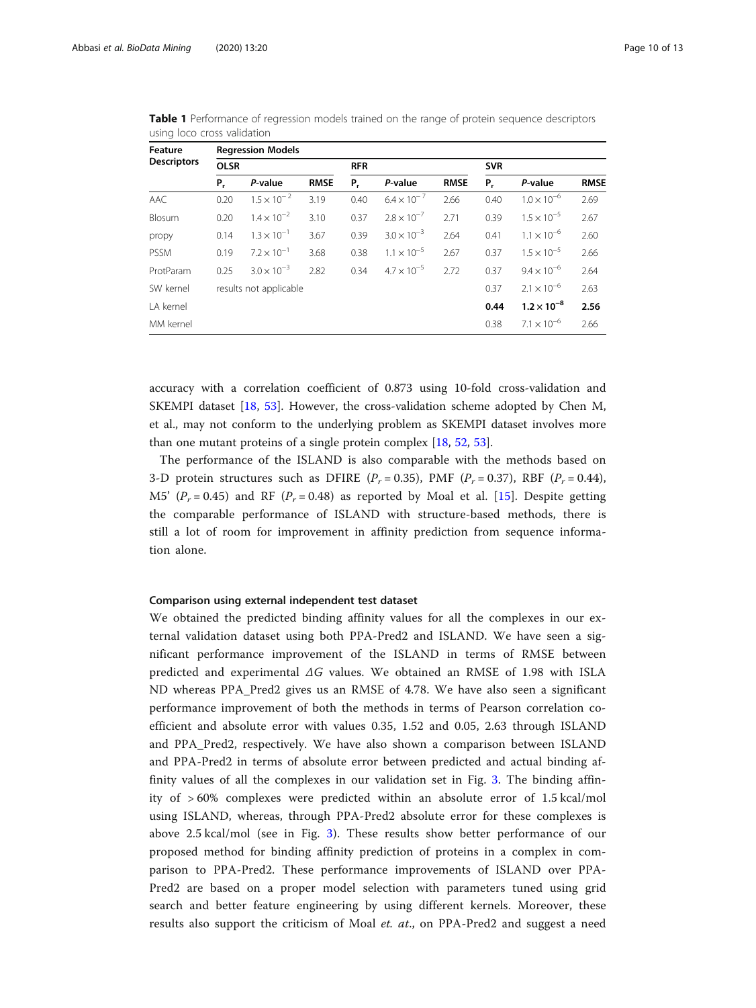| Feature<br><b>Descriptors</b> | <b>Regression Models</b> |                      |             |            |                      |             |            |                      |             |
|-------------------------------|--------------------------|----------------------|-------------|------------|----------------------|-------------|------------|----------------------|-------------|
|                               | <b>OLSR</b>              |                      |             | <b>RFR</b> |                      |             | <b>SVR</b> |                      |             |
|                               | $P_r$                    | P-value              | <b>RMSE</b> | $P_r$      | P-value              | <b>RMSE</b> | Р,         | P-value              | <b>RMSE</b> |
| AAC                           | 0.20                     | $1.5 \times 10^{-2}$ | 3.19        | 0.40       | $6.4 \times 10^{-7}$ | 2.66        | 0.40       | $1.0 \times 10^{-6}$ | 2.69        |
| Blosum                        | 0.20                     | $1.4 \times 10^{-2}$ | 3.10        | 0.37       | $2.8 \times 10^{-7}$ | 2.71        | 0.39       | $1.5 \times 10^{-5}$ | 2.67        |
| propy                         | 0.14                     | $1.3 \times 10^{-1}$ | 3.67        | 0.39       | $3.0 \times 10^{-3}$ | 2.64        | 0.41       | $1.1 \times 10^{-6}$ | 2.60        |
| <b>PSSM</b>                   | 0.19                     | $7.2 \times 10^{-1}$ | 3.68        | 0.38       | $1.1 \times 10^{-5}$ | 2.67        | 0.37       | $1.5 \times 10^{-5}$ | 2.66        |
| ProtParam                     | 0.25                     | $3.0 \times 10^{-3}$ | 2.82        | 0.34       | $4.7 \times 10^{-5}$ | 2.72        | 0.37       | $9.4 \times 10^{-6}$ | 2.64        |
| SW kernel                     | results not applicable   |                      |             |            |                      |             | 0.37       | $2.1 \times 10^{-6}$ | 2.63        |
| LA kernel                     |                          |                      |             |            |                      |             | 0.44       | $1.2 \times 10^{-8}$ | 2.56        |
| MM kernel                     |                          |                      |             |            |                      |             | 0.38       | $7.1 \times 10^{-6}$ | 2.66        |

<span id="page-9-0"></span>Table 1 Performance of regression models trained on the range of protein sequence descriptors using loco cross validation

accuracy with a correlation coefficient of 0.873 using 10-fold cross-validation and SKEMPI dataset [\[18](#page-11-0), [53](#page-12-0)]. However, the cross-validation scheme adopted by Chen M, et al., may not conform to the underlying problem as SKEMPI dataset involves more than one mutant proteins of a single protein complex [[18](#page-11-0), [52](#page-12-0), [53](#page-12-0)].

The performance of the ISLAND is also comparable with the methods based on 3-D protein structures such as DFIRE  $(P_r = 0.35)$ , PMF  $(P_r = 0.37)$ , RBF  $(P_r = 0.44)$ , M5'  $(P_r = 0.45)$  and RF  $(P_r = 0.48)$  as reported by Moal et al. [[15\]](#page-11-0). Despite getting the comparable performance of ISLAND with structure-based methods, there is still a lot of room for improvement in affinity prediction from sequence information alone.

#### Comparison using external independent test dataset

We obtained the predicted binding affinity values for all the complexes in our external validation dataset using both PPA-Pred2 and ISLAND. We have seen a significant performance improvement of the ISLAND in terms of RMSE between predicted and experimental ΔG values. We obtained an RMSE of 1.98 with ISLA ND whereas PPA\_Pred2 gives us an RMSE of 4.78. We have also seen a significant performance improvement of both the methods in terms of Pearson correlation coefficient and absolute error with values 0.35, 1.52 and 0.05, 2.63 through ISLAND and PPA\_Pred2, respectively. We have also shown a comparison between ISLAND and PPA-Pred2 in terms of absolute error between predicted and actual binding affinity values of all the complexes in our validation set in Fig. [3.](#page-10-0) The binding affinity of > 60% complexes were predicted within an absolute error of 1.5 kcal/mol using ISLAND, whereas, through PPA-Pred2 absolute error for these complexes is above 2.5 kcal/mol (see in Fig. [3](#page-10-0)). These results show better performance of our proposed method for binding affinity prediction of proteins in a complex in comparison to PPA-Pred2. These performance improvements of ISLAND over PPA-Pred2 are based on a proper model selection with parameters tuned using grid search and better feature engineering by using different kernels. Moreover, these results also support the criticism of Moal *et. at.*, on PPA-Pred2 and suggest a need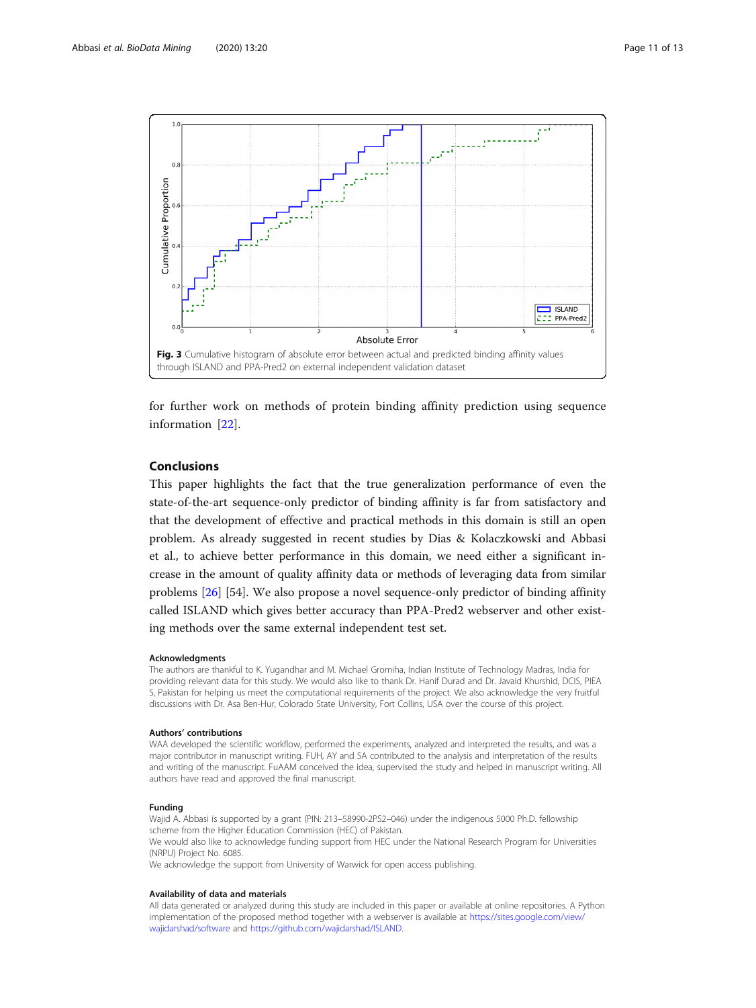<span id="page-10-0"></span>

for further work on methods of protein binding affinity prediction using sequence information [\[22](#page-11-0)].

### Conclusions

This paper highlights the fact that the true generalization performance of even the state-of-the-art sequence-only predictor of binding affinity is far from satisfactory and that the development of effective and practical methods in this domain is still an open problem. As already suggested in recent studies by Dias & Kolaczkowski and Abbasi et al., to achieve better performance in this domain, we need either a significant increase in the amount of quality affinity data or methods of leveraging data from similar problems [[26\]](#page-11-0) [54]. We also propose a novel sequence-only predictor of binding affinity called ISLAND which gives better accuracy than PPA-Pred2 webserver and other existing methods over the same external independent test set.

#### Acknowledgments

The authors are thankful to K. Yugandhar and M. Michael Gromiha, Indian Institute of Technology Madras, India for providing relevant data for this study. We would also like to thank Dr. Hanif Durad and Dr. Javaid Khurshid, DCIS, PIEA S, Pakistan for helping us meet the computational requirements of the project. We also acknowledge the very fruitful discussions with Dr. Asa Ben-Hur, Colorado State University, Fort Collins, USA over the course of this project.

#### Authors' contributions

WAA developed the scientific workflow, performed the experiments, analyzed and interpreted the results, and was a major contributor in manuscript writing. FUH, AY and SA contributed to the analysis and interpretation of the results and writing of the manuscript. FuAAM conceived the idea, supervised the study and helped in manuscript writing. All authors have read and approved the final manuscript.

#### Funding

Wajid A. Abbasi is supported by a grant (PIN: 213–58990-2PS2–046) under the indigenous 5000 Ph.D. fellowship scheme from the Higher Education Commission (HEC) of Pakistan. We would also like to acknowledge funding support from HEC under the National Research Program for Universities (NRPU) Project No. 6085.

We acknowledge the support from University of Warwick for open access publishing.

#### Availability of data and materials

All data generated or analyzed during this study are included in this paper or available at online repositories. A Python implementation of the proposed method together with a webserver is available at [https://sites.google.com/view/](https://sites.google.com/view/wajidarshad/software) [wajidarshad/software](https://sites.google.com/view/wajidarshad/software) and [https://github.com/wajidarshad/ISLAND.](https://github.com/wajidarshad/ISLAND)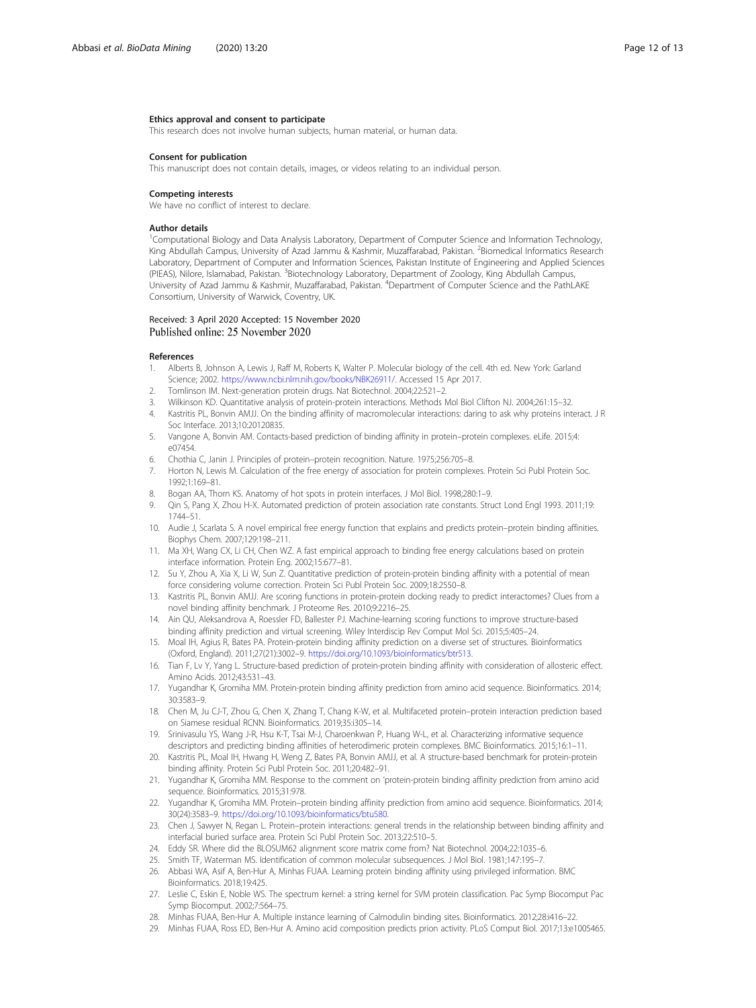#### <span id="page-11-0"></span>Ethics approval and consent to participate

This research does not involve human subjects, human material, or human data.

#### Consent for publication

This manuscript does not contain details, images, or videos relating to an individual person.

#### Competing interests

We have no conflict of interest to declare.

#### Author details

<sup>1</sup>Computational Biology and Data Analysis Laboratory, Department of Computer Science and Information Technology, King Abdullah Campus, University of Azad Jammu & Kashmir, Muzaffarabad, Pakistan. <sup>2</sup>Biomedical Informatics Research Laboratory, Department of Computer and Information Sciences, Pakistan Institute of Engineering and Applied Sciences (PIEAS), Nilore, Islamabad, Pakistan. <sup>3</sup>Biotechnology Laboratory, Department of Zoology, King Abdullah Campus, University of Azad Jammu & Kashmir, Muzaffarabad, Pakistan. <sup>4</sup>Department of Computer Science and the PathLAKE Consortium, University of Warwick, Coventry, UK.

#### Received: 3 April 2020 Accepted: 15 November 2020 Published online: 25 November 2020

#### References

- 1. Alberts B, Johnson A, Lewis J, Raff M, Roberts K, Walter P. Molecular biology of the cell. 4th ed. New York: Garland Science; 2002. <https://www.ncbi.nlm.nih.gov/books/NBK26911/>. Accessed 15 Apr 2017.
- 2. Tomlinson IM. Next-generation protein drugs. Nat Biotechnol. 2004;22:521–2.
- 3. Wilkinson KD. Quantitative analysis of protein-protein interactions. Methods Mol Biol Clifton NJ. 2004;261:15–32.
- 4. Kastritis PL, Bonvin AMJJ. On the binding affinity of macromolecular interactions: daring to ask why proteins interact. J R Soc Interface. 2013;10:20120835.
- 5. Vangone A, Bonvin AM. Contacts-based prediction of binding affinity in protein–protein complexes. eLife. 2015;4: e07454.
- 6. Chothia C, Janin J. Principles of protein–protein recognition. Nature. 1975;256:705–8.
- 7. Horton N, Lewis M. Calculation of the free energy of association for protein complexes. Protein Sci Publ Protein Soc. 1992;1:169–81.
- 8. Bogan AA, Thorn KS. Anatomy of hot spots in protein interfaces. J Mol Biol. 1998;280:1-9.
- 9. Qin S, Pang X, Zhou H-X. Automated prediction of protein association rate constants. Struct Lond Engl 1993. 2011;19: 1744–51.
- 10. Audie J, Scarlata S. A novel empirical free energy function that explains and predicts protein–protein binding affinities. Biophys Chem. 2007;129:198–211.
- 11. Ma XH, Wang CX, Li CH, Chen WZ. A fast empirical approach to binding free energy calculations based on protein interface information. Protein Eng. 2002;15:677–81.
- 12. Su Y, Zhou A, Xia X, Li W, Sun Z. Quantitative prediction of protein-protein binding affinity with a potential of mean force considering volume correction. Protein Sci Publ Protein Soc. 2009;18:2550–8.
- 13. Kastritis PL, Bonvin AMJJ. Are scoring functions in protein-protein docking ready to predict interactomes? Clues from a novel binding affinity benchmark. J Proteome Res. 2010;9:2216–25.
- 14. Ain QU, Aleksandrova A, Roessler FD, Ballester PJ. Machine-learning scoring functions to improve structure-based binding affinity prediction and virtual screening. Wiley Interdiscip Rev Comput Mol Sci. 2015;5:405–24.
- 15. Moal IH, Agius R, Bates PA. Protein-protein binding affinity prediction on a diverse set of structures. Bioinformatics (Oxford, England). 2011;27(21):3002–9. <https://doi.org/10.1093/bioinformatics/btr513>.
- 16. Tian F, Lv Y, Yang L. Structure-based prediction of protein-protein binding affinity with consideration of allosteric effect. Amino Acids. 2012;43:531–43.
- 17. Yugandhar K, Gromiha MM. Protein-protein binding affinity prediction from amino acid sequence. Bioinformatics. 2014; 30:3583–9.
- 18. Chen M, Ju CJ-T, Zhou G, Chen X, Zhang T, Chang K-W, et al. Multifaceted protein–protein interaction prediction based on Siamese residual RCNN. Bioinformatics. 2019;35:i305–14.
- 19. Srinivasulu YS, Wang J-R, Hsu K-T, Tsai M-J, Charoenkwan P, Huang W-L, et al. Characterizing informative sequence descriptors and predicting binding affinities of heterodimeric protein complexes. BMC Bioinformatics. 2015;16:1–11.
- 20. Kastritis PL, Moal IH, Hwang H, Weng Z, Bates PA, Bonvin AMJJ, et al. A structure-based benchmark for protein-protein binding affinity. Protein Sci Publ Protein Soc. 2011;20:482–91.
- 21. Yugandhar K, Gromiha MM. Response to the comment on 'protein-protein binding affinity prediction from amino acid sequence. Bioinformatics. 2015;31:978.
- 22. Yugandhar K, Gromiha MM. Protein–protein binding affinity prediction from amino acid sequence. Bioinformatics. 2014; 30(24):3583–9. <https://doi.org/10.1093/bioinformatics/btu580>.
- 23. Chen J, Sawyer N, Regan L. Protein–protein interactions: general trends in the relationship between binding affinity and interfacial buried surface area. Protein Sci Publ Protein Soc. 2013;22:510–5.
- 24. Eddy SR. Where did the BLOSUM62 alignment score matrix come from? Nat Biotechnol. 2004;22:1035–6.
- 25. Smith TF, Waterman MS. Identification of common molecular subsequences. J Mol Biol. 1981;147:195–7.
- 26. Abbasi WA, Asif A, Ben-Hur A, Minhas FUAA. Learning protein binding affinity using privileged information. BMC Bioinformatics. 2018;19:425.
- 27. Leslie C, Eskin E, Noble WS. The spectrum kernel: a string kernel for SVM protein classification. Pac Symp Biocomput Pac Symp Biocomput. 2002;7:564–75.
- 28. Minhas FUAA, Ben-Hur A. Multiple instance learning of Calmodulin binding sites. Bioinformatics. 2012;28:i416–22.
- 29. Minhas FUAA, Ross ED, Ben-Hur A. Amino acid composition predicts prion activity. PLoS Comput Biol. 2017;13:e1005465.